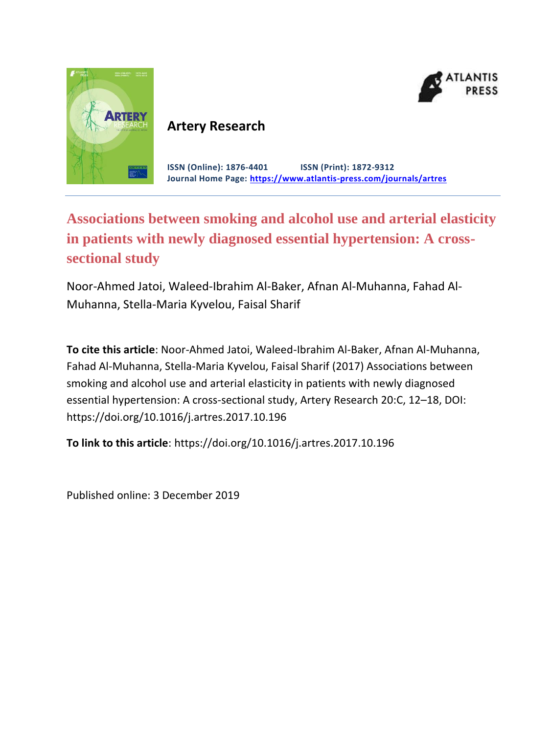



### **Artery Research**

**ISSN (Online): 1876-4401 ISSN (Print): 1872-9312 Journal Home Page: <https://www.atlantis-press.com/journals/artres>**

## **Associations between smoking and alcohol use and arterial elasticity in patients with newly diagnosed essential hypertension: A crosssectional study**

Noor-Ahmed Jatoi, Waleed-Ibrahim Al-Baker, Afnan Al-Muhanna, Fahad Al-Muhanna, Stella-Maria Kyvelou, Faisal Sharif

**To cite this article**: Noor-Ahmed Jatoi, Waleed-Ibrahim Al-Baker, Afnan Al-Muhanna, Fahad Al-Muhanna, Stella-Maria Kyvelou, Faisal Sharif (2017) Associations between smoking and alcohol use and arterial elasticity in patients with newly diagnosed essential hypertension: A cross-sectional study, Artery Research 20:C, 12–18, DOI: https://doi.org/10.1016/j.artres.2017.10.196

**To link to this article**: https://doi.org/10.1016/j.artres.2017.10.196

Published online: 3 December 2019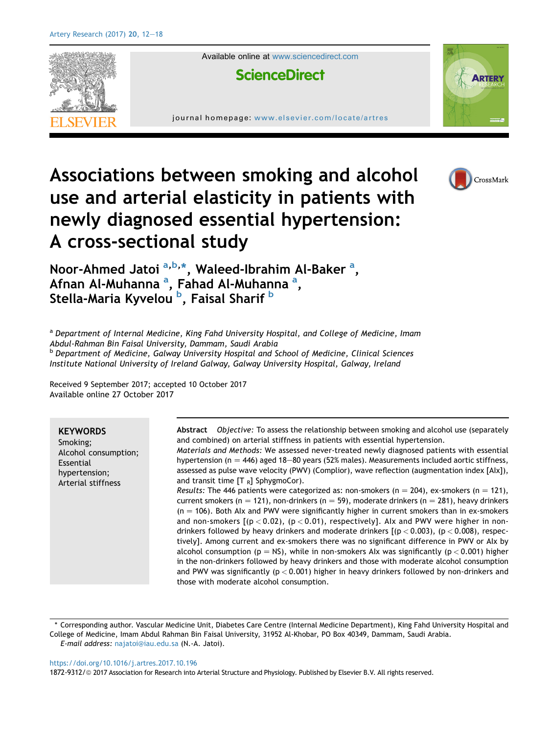

# Associations between smoking and alcohol use and arterial elasticity in patients with newly diagnosed essential hypertension: A cross-sectional study



<sup>a</sup> Department of Internal Medicine, King Fahd University Hospital, and College of Medicine, Imam Abdul-Rahman Bin Faisal University, Dammam, Saudi Arabia **b** Department of Medicine, Galway University Hospital and School of Medicine, Clinical Sciences Institute National University of Ireland Galway, Galway University Hospital, Galway, Ireland

Received 9 September 2017; accepted 10 October 2017 Available online 27 October 2017

#### **KEYWORDS**

Smoking; Alcohol consumption; Essential hypertension; Arterial stiffness

Abstract Objective: To assess the relationship between smoking and alcohol use (separately and combined) on arterial stiffness in patients with essential hypertension.

Materials and Methods: We assessed never-treated newly diagnosed patients with essential hypertension (n = 446) aged 18-80 years (52% males). Measurements included aortic stiffness, assessed as pulse wave velocity (PWV) (Complior), wave reflection (augmentation index [AIx]), and transit time  $[T_R]$  SphygmoCor).

Results: The 446 patients were categorized as: non-smokers (n = 204), ex-smokers (n = 121), current smokers (n = 121), non-drinkers (n = 59), moderate drinkers (n = 281), heavy drinkers  $(n = 106)$ . Both AIx and PWV were significantly higher in current smokers than in ex-smokers and non-smokers  $[(p < 0.02)$ ,  $(p < 0.01)$ , respectively]. Alx and PWV were higher in nondrinkers followed by heavy drinkers and moderate drinkers  $[(p < 0.003)$ ,  $(p < 0.008)$ , respectively]. Among current and ex-smokers there was no significant difference in PWV or AIx by alcohol consumption ( $p = NS$ ), while in non-smokers AIx was significantly ( $p < 0.001$ ) higher in the non-drinkers followed by heavy drinkers and those with moderate alcohol consumption and PWV was significantly ( $p < 0.001$ ) higher in heavy drinkers followed by non-drinkers and those with moderate alcohol consumption.

\* Corresponding author. Vascular Medicine Unit, Diabetes Care Centre (Internal Medicine Department), King Fahd University Hospital and College of Medicine, Imam Abdul Rahman Bin Faisal University, 31952 Al-Khobar, PO Box 40349, Dammam, Saudi Arabia. E-mail address: [najatoi@iau.edu.sa](mailto:najatoi@iau.edu.sa) (N.-A. Jatoi).

<https://doi.org/10.1016/j.artres.2017.10.196>

1872-9312/© 2017 Association for Research into Arterial Structure and Physiology. Published by Elsevier B.V. All rights reserved.

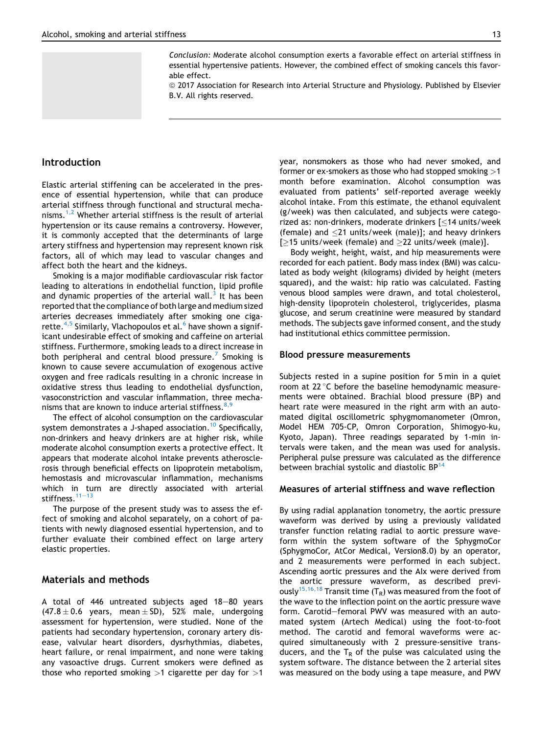Conclusion: Moderate alcohol consumption exerts a favorable effect on arterial stiffness in essential hypertensive patients. However, the combined effect of smoking cancels this favorable effect.

ª 2017 Association for Research into Arterial Structure and Physiology. Published by Elsevier B.V. All rights reserved.

#### Introduction

Elastic arterial stiffening can be accelerated in the presence of essential hypertension, while that can produce arterial stiffness through functional and structural mechanisms.<sup>1,2</sup> Whether arterial stiffness is the result of arterial hypertension or its cause remains a controversy. However, it is commonly accepted that the determinants of large artery stiffness and hypertension may represent known risk factors, all of which may lead to vascular changes and affect both the heart and the kidneys.

Smoking is a major modifiable cardiovascular risk factor leading to alterations in endothelial function, lipid profile and dynamic properties of the arterial wall.<sup>3</sup> It has been reported that the compliance of both large and medium sized arteries decreases immediately after smoking one cigarette.<sup>4,5</sup> Similarly, Vlachopoulos et al. $^6$  have shown a significant undesirable effect of smoking and caffeine on arterial stiffness. Furthermore, smoking leads to a direct increase in both peripheral and central blood pressure.<sup>7</sup> Smoking is known to cause severe accumulation of exogenous active oxygen and free radicals resulting in a chronic increase in oxidative stress thus leading to endothelial dysfunction, vasoconstriction and vascular inflammation, three mechanisms that are known to induce arterial stiffness.  $8,9$ 

The effect of alcohol consumption on the cardiovascular system demonstrates a J-shaped association.<sup>10</sup> Specifically, non-drinkers and heavy drinkers are at higher risk, while moderate alcohol consumption exerts a protective effect. It appears that moderate alcohol intake prevents atherosclerosis through beneficial effects on lipoprotein metabolism, hemostasis and microvascular inflammation, mechanisms which in turn are directly associated with arterial stiffness. $11-13$ 

The purpose of the present study was to assess the effect of smoking and alcohol separately, on a cohort of patients with newly diagnosed essential hypertension, and to further evaluate their combined effect on large artery elastic properties.

#### Materials and methods

A total of  $446$  untreated subjects aged  $18-80$  years  $(47.8 \pm 0.6)$  years, mean  $\pm$  SD), 52% male, undergoing assessment for hypertension, were studied. None of the patients had secondary hypertension, coronary artery disease, valvular heart disorders, dysrhythmias, diabetes, heart failure, or renal impairment, and none were taking any vasoactive drugs. Current smokers were defined as those who reported smoking  $>1$  cigarette per day for  $>1$  year, nonsmokers as those who had never smoked, and former or ex-smokers as those who had stopped smoking >1 month before examination. Alcohol consumption was evaluated from patients' self-reported average weekly alcohol intake. From this estimate, the ethanol equivalent (g/week) was then calculated, and subjects were categorized as: non-drinkers, moderate drinkers [<14 units/week (female) and 21 units/week (male)]; and heavy drinkers [ $\ge$ 15 units/week (female) and  $\ge$ 22 units/week (male)].

Body weight, height, waist, and hip measurements were recorded for each patient. Body mass index (BMI) was calculated as body weight (kilograms) divided by height (meters squared), and the waist: hip ratio was calculated. Fasting venous blood samples were drawn, and total cholesterol, high-density lipoprotein cholesterol, triglycerides, plasma glucose, and serum creatinine were measured by standard methods. The subjects gave informed consent, and the study had institutional ethics committee permission.

#### Blood pressure measurements

Subjects rested in a supine position for 5 min in a quiet room at 22 °C before the baseline hemodynamic measurements were obtained. Brachial blood pressure (BP) and heart rate were measured in the right arm with an automated digital oscillometric sphygmomanometer (Omron, Model HEM 705-CP, Omron Corporation, Shimogyo-ku, Kyoto, Japan). Three readings separated by 1-min intervals were taken, and the mean was used for analysis. Peripheral pulse pressure was calculated as the difference between brachial systolic and diastolic BP<sup>14</sup>

#### Measures of arterial stiffness and wave reflection

By using radial applanation tonometry, the aortic pressure waveform was derived by using a previously validated transfer function relating radial to aortic pressure waveform within the system software of the SphygmoCor (SphygmoCor, AtCor Medical, Version8.0) by an operator, and 2 measurements were performed in each subject. Ascending aortic pressures and the AIx were derived from the aortic pressure waveform, as described previously<sup>15,16,18</sup> Transit time (T<sub>R</sub>) was measured from the foot of the wave to the inflection point on the aortic pressure wave form. Carotid-femoral PWV was measured with an automated system (Artech Medical) using the foot-to-foot method. The carotid and femoral waveforms were acquired simultaneously with 2 pressure-sensitive transducers, and the  $T_R$  of the pulse was calculated using the system software. The distance between the 2 arterial sites was measured on the body using a tape measure, and PWV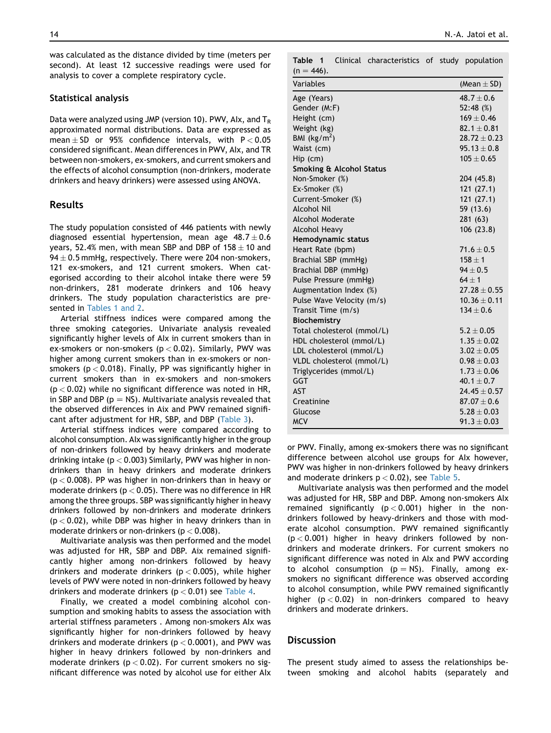was calculated as the distance divided by time (meters per second). At least 12 successive readings were used for analysis to cover a complete respiratory cycle.

#### Statistical analysis

Data were analyzed using JMP (version 10). PWV, Alx, and  $T_R$ approximated normal distributions. Data are expressed as mean  $\pm$  SD or 95% confidence intervals, with P < 0.05 considered significant. Mean differences in PWV, AIx, and TR between non-smokers, ex-smokers, and current smokers and the effects of alcohol consumption (non-drinkers, moderate drinkers and heavy drinkers) were assessed using ANOVA.

#### Results

The study population consisted of 446 patients with newly diagnosed essential hypertension, mean age  $48.7 \pm 0.6$ years, 52.4% men, with mean SBP and DBP of  $158 \pm 10$  and 94  $\pm$  0.5 mmHg, respectively. There were 204 non-smokers, 121 ex-smokers, and 121 current smokers. When categorised according to their alcohol intake there were 59 non-drinkers, 281 moderate drinkers and 106 heavy drinkers. The study population characteristics are presented in Tables 1 and 2.

Arterial stiffness indices were compared among the three smoking categories. Univariate analysis revealed significantly higher levels of AIx in current smokers than in ex-smokers or non-smokers ( $p < 0.02$ ). Similarly, PWV was higher among current smokers than in ex-smokers or nonsmokers ( $p < 0.018$ ). Finally, PP was significantly higher in current smokers than in ex-smokers and non-smokers  $(p < 0.02)$  while no significant difference was noted in HR, in SBP and DBP ( $p = NS$ ). Multivariate analysis revealed that the observed differences in Aix and PWV remained significant after adjustment for HR, SBP, and DBP (Table 3).

Arterial stiffness indices were compared according to alcohol consumption. AIx was significantly higher in the group of non-drinkers followed by heavy drinkers and moderate drinking intake ( $p < 0.003$ ) Similarly, PWV was higher in nondrinkers than in heavy drinkers and moderate drinkers  $(p < 0.008)$ . PP was higher in non-drinkers than in heavy or moderate drinkers ( $p < 0.05$ ). There was no difference in HR among the three groups. SBP was significantly higher in heavy drinkers followed by non-drinkers and moderate drinkers  $(p < 0.02)$ , while DBP was higher in heavy drinkers than in moderate drinkers or non-drinkers ( $p < 0.008$ ).

Multivariate analysis was then performed and the model was adjusted for HR, SBP and DBP. Aix remained significantly higher among non-drinkers followed by heavy drinkers and moderate drinkers ( $p < 0.005$ ), while higher levels of PWV were noted in non-drinkers followed by heavy drinkers and moderate drinkers ( $p < 0.01$ ) see Table 4.

Finally, we created a model combining alcohol consumption and smoking habits to assess the association with arterial stiffness parameters . Among non-smokers AIx was significantly higher for non-drinkers followed by heavy drinkers and moderate drinkers ( $p < 0.0001$ ), and PWV was higher in heavy drinkers followed by non-drinkers and moderate drinkers ( $p < 0.02$ ). For current smokers no significant difference was noted by alcohol use for either AIx Table 1 Clinical characteristics of study population  $(n = 446)$ .

| '.,                        |                  |
|----------------------------|------------------|
| Variables                  | (Mean $\pm$ SD)  |
| Age (Years)                | $48.7 + 0.6$     |
| Gender (M:F)               | 52:48(%)         |
| Height (cm)                | $169 \pm 0.46$   |
| Weight (kg)                | $82.1 \pm 0.81$  |
| BMI ( $\text{kg/m}^2$ )    | $28.72 \pm 0.23$ |
| Waist (cm)                 | $95.13 \pm 0.8$  |
| Hip (cm)                   | $105 + 0.65$     |
| Smoking & Alcohol Status   |                  |
| Non-Smoker (%)             | 204 (45.8)       |
| Ex-Smoker (%)              | 121(27.1)        |
| Current-Smoker (%)         | 121(27.1)        |
| <b>Alcohol Nil</b>         | 59 (13.6)        |
| <b>Alcohol Moderate</b>    | 281 (63)         |
| Alcohol Heavy              | 106 (23.8)       |
| Hemodynamic status         |                  |
| Heart Rate (bpm)           | $71.6 \pm 0.5$   |
| Brachial SBP (mmHg)        | $158 + 1$        |
| Brachial DBP (mmHg)        | $94 + 0.5$       |
| Pulse Pressure (mmHg)      | $64 + 1$         |
| Augmentation Index (%)     | $27.28 \pm 0.55$ |
| Pulse Wave Velocity (m/s)  | $10.36 \pm 0.11$ |
| Transit Time (m/s)         | $134 + 0.6$      |
| Biochemistry               |                  |
| Total cholesterol (mmol/L) | $5.2 \pm 0.05$   |
| HDL cholesterol (mmol/L)   | $1.35 + 0.02$    |
| LDL cholesterol (mmol/L)   | $3.02 + 0.05$    |
| VLDL cholesterol (mmol/L)  | $0.98 \pm 0.03$  |
| Triglycerides (mmol/L)     | $1.73 \pm 0.06$  |
| <b>GGT</b>                 | $40.1 \pm 0.7$   |
| <b>AST</b>                 | $24.45 + 0.57$   |
| Creatinine                 | $87.07 \pm 0.6$  |
| Glucose                    | $5.28 \pm 0.03$  |
| <b>MCV</b>                 | $91.3 \pm 0.03$  |

or PWV. Finally, among ex-smokers there was no significant difference between alcohol use groups for AIx however, PWV was higher in non-drinkers followed by heavy drinkers and moderate drinkers  $p < 0.02$ ), see Table 5.

Multivariate analysis was then performed and the model was adjusted for HR, SBP and DBP. Among non-smokers AIx remained significantly  $(p < 0.001)$  higher in the nondrinkers followed by heavy-drinkers and those with moderate alcohol consumption. PWV remained significantly  $(p < 0.001)$  higher in heavy drinkers followed by nondrinkers and moderate drinkers. For current smokers no significant difference was noted in AIx and PWV according to alcohol consumption ( $p = NS$ ). Finally, among exsmokers no significant difference was observed according to alcohol consumption, while PWV remained significantly higher  $(p < 0.02)$  in non-drinkers compared to heavy drinkers and moderate drinkers.

#### **Discussion**

The present study aimed to assess the relationships between smoking and alcohol habits (separately and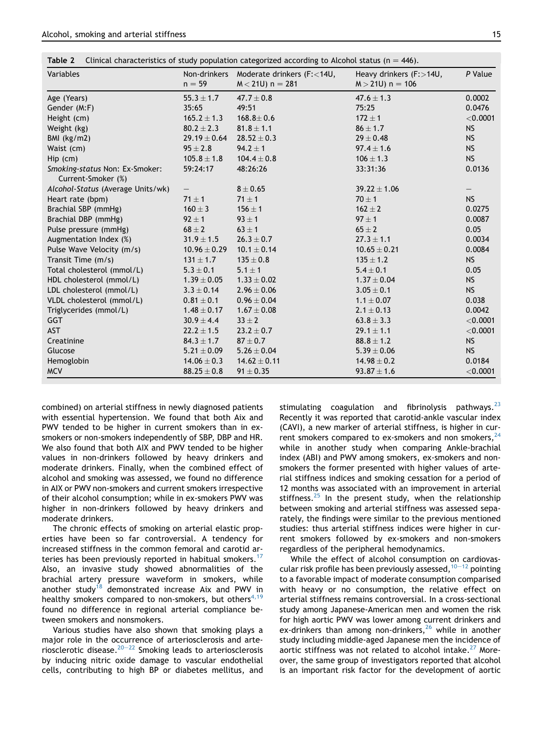| Table 2 |  | Clinical characteristics of study population categorized according to Alcohol status ( $n = 446$ ). |  |  |  |  |  |  |  |  |
|---------|--|-----------------------------------------------------------------------------------------------------|--|--|--|--|--|--|--|--|
|---------|--|-----------------------------------------------------------------------------------------------------|--|--|--|--|--|--|--|--|

| Variables                                            | $n = 59$         | Non-drinkers Moderate drinkers (F: < 14U,<br>$M < 21U$ ) n = 281 | Heavy drinkers (F: > 14U,<br>$M > 21U$ ) n = 106 | P Value    |  |
|------------------------------------------------------|------------------|------------------------------------------------------------------|--------------------------------------------------|------------|--|
| Age (Years)                                          | $55.3 \pm 1.7$   | $47.7 \pm 0.8$                                                   | $47.6 \pm 1.3$                                   | 0.0002     |  |
| Gender (M:F)                                         | 35:65            | 49:51                                                            | 75:25                                            | 0.0476     |  |
| Height (cm)                                          | $165.2 \pm 1.3$  | $168.8 \pm 0.6$                                                  | $172 \pm 1$                                      | $<$ 0.0001 |  |
| Weight (kg)                                          | $80.2 \pm 2.3$   | $81.8 \pm 1.1$                                                   | $86 \pm 1.7$                                     | <b>NS</b>  |  |
| BMI $(kg/m2)$                                        | $29.19 \pm 0.64$ | $28.52 \pm 0.3$                                                  | $29 \pm 0.48$                                    | <b>NS</b>  |  |
| Waist (cm)                                           | $95 \pm 2.8$     | $94.2 \pm 1$                                                     | $97.4 \pm 1.6$                                   | <b>NS</b>  |  |
| Hip (cm)                                             | $105.8 \pm 1.8$  | $104.4 \pm 0.8$                                                  | $106 \pm 1.3$                                    | <b>NS</b>  |  |
| Smoking-status Non: Ex-Smoker:<br>Current-Smoker (%) | 59:24:17         | 48:26:26                                                         | 33:31:36                                         | 0.0136     |  |
| Alcohol-Status (Average Units/wk)                    |                  | $8 \pm 0.65$                                                     | $39.22 \pm 1.06$                                 |            |  |
| Heart rate (bpm)                                     | $71 \pm 1$       | $71 \pm 1$                                                       | $70 \pm 1$                                       | <b>NS</b>  |  |
| Brachial SBP (mmHg)                                  | $160 \pm 3$      | $156 \pm 1$                                                      | $162 \pm 2$                                      | 0.0275     |  |
| Brachial DBP (mmHg)                                  | $92 \pm 1$       | $93 \pm 1$                                                       | $97 \pm 1$                                       | 0.0087     |  |
| Pulse pressure (mmHg)                                | $68 \pm 2$       | $63 \pm 1$                                                       | $65 \pm 2$                                       | 0.05       |  |
| Augmentation Index (%)                               | $31.9 \pm 1.5$   | $26.3 \pm 0.7$                                                   | $27.3 \pm 1.1$                                   | 0.0034     |  |
| Pulse Wave Velocity (m/s)                            | $10.96 \pm 0.29$ | $10.1 \pm 0.14$                                                  | $10.65 \pm 0.21$                                 | 0.0084     |  |
| Transit Time (m/s)                                   | $131 \pm 1.7$    | $135 \pm 0.8$                                                    | $135 \pm 1.2$                                    | <b>NS</b>  |  |
| Total cholesterol (mmol/L)                           | $5.3 \pm 0.1$    | $5.1 \pm 1$                                                      | $5.4 \pm 0.1$                                    | 0.05       |  |
| HDL cholesterol (mmol/L)                             | $1.39 \pm 0.05$  | $1.33 \pm 0.02$                                                  | $1.37 \pm 0.04$                                  | <b>NS</b>  |  |
| LDL cholesterol (mmol/L)                             | $3.3 \pm 0.14$   | $2.96 \pm 0.06$                                                  | $3.05 \pm 0.1$                                   | <b>NS</b>  |  |
| VLDL cholesterol (mmol/L)                            | $0.81 \pm 0.1$   | $0.96 \pm 0.04$                                                  | $1.1 \pm 0.07$                                   | 0.038      |  |
| Triglycerides (mmol/L)                               | $1.48 \pm 0.17$  | $1.67 \pm 0.08$                                                  | $2.1 \pm 0.13$                                   | 0.0042     |  |
| GGT                                                  | $30.9 \pm 4.4$   | $33 \pm 2$                                                       | $63.8 \pm 3.3$                                   | $<$ 0.0001 |  |
| <b>AST</b>                                           | $22.2 \pm 1.5$   | $23.2 \pm 0.7$                                                   | $29.1 \pm 1.1$                                   | $<$ 0.0001 |  |
| Creatinine                                           | $84.3 \pm 1.7$   | $87\pm0.7$                                                       | $88.8 \pm 1.2$                                   | <b>NS</b>  |  |
| Glucose                                              | $5.21 \pm 0.09$  | $5.26 \pm 0.04$                                                  | $5.39 \pm 0.06$                                  | <b>NS</b>  |  |
| Hemoglobin                                           | $14.06 \pm 0.3$  | $14.62 \pm 0.11$                                                 | $14.98 \pm 0.2$                                  | 0.0184     |  |
| <b>MCV</b>                                           | $88.25 \pm 0.8$  | $91 \pm 0.35$                                                    | $93.87 \pm 1.6$                                  | $<$ 0.0001 |  |

combined) on arterial stiffness in newly diagnosed patients with essential hypertension. We found that both Aix and PWV tended to be higher in current smokers than in exsmokers or non-smokers independently of SBP, DBP and HR. We also found that both AIX and PWV tended to be higher values in non-drinkers followed by heavy drinkers and moderate drinkers. Finally, when the combined effect of alcohol and smoking was assessed, we found no difference in AIX or PWV non-smokers and current smokers irrespective of their alcohol consumption; while in ex-smokers PWV was higher in non-drinkers followed by heavy drinkers and moderate drinkers.

The chronic effects of smoking on arterial elastic properties have been so far controversial. A tendency for increased stiffness in the common femoral and carotid arteries has been previously reported in habitual smokers.<sup>17</sup> Also, an invasive study showed abnormalities of the brachial artery pressure waveform in smokers, while another study<sup>18</sup> demonstrated increase Aix and PWV in healthy smokers compared to non-smokers, but others<sup>4,19</sup> found no difference in regional arterial compliance between smokers and nonsmokers.

Various studies have also shown that smoking plays a major role in the occurrence of arteriosclerosis and arteriosclerotic disease.<sup>20–22</sup> Smoking leads to arteriosclerosis by inducing nitric oxide damage to vascular endothelial cells, contributing to high BP or diabetes mellitus, and stimulating coagulation and fibrinolysis pathways. $^{23}$ Recently it was reported that carotid-ankle vascular index (CAVI), a new marker of arterial stiffness, is higher in current smokers compared to ex-smokers and non smokers,  $24$ while in another study when comparing Ankle-brachial index (ABI) and PWV among smokers, ex-smokers and nonsmokers the former presented with higher values of arterial stiffness indices and smoking cessation for a period of 12 months was associated with an improvement in arterial stiffness. $25$  In the present study, when the relationship between smoking and arterial stiffness was assessed separately, the findings were similar to the previous mentioned studies: thus arterial stiffness indices were higher in current smokers followed by ex-smokers and non-smokers regardless of the peripheral hemodynamics.

While the effect of alcohol consumption on cardiovascular risk profile has been previously assessed,  $10-12$  pointing to a favorable impact of moderate consumption comparised with heavy or no consumption, the relative effect on arterial stiffness remains controversial. In a cross-sectional study among Japanese-American men and women the risk for high aortic PWV was lower among current drinkers and ex-drinkers than among non-drinkers,  $26$  while in another study including middle-aged Japanese men the incidence of aortic stiffness was not related to alcohol intake.<sup>27</sup> Moreover, the same group of investigators reported that alcohol is an important risk factor for the development of aortic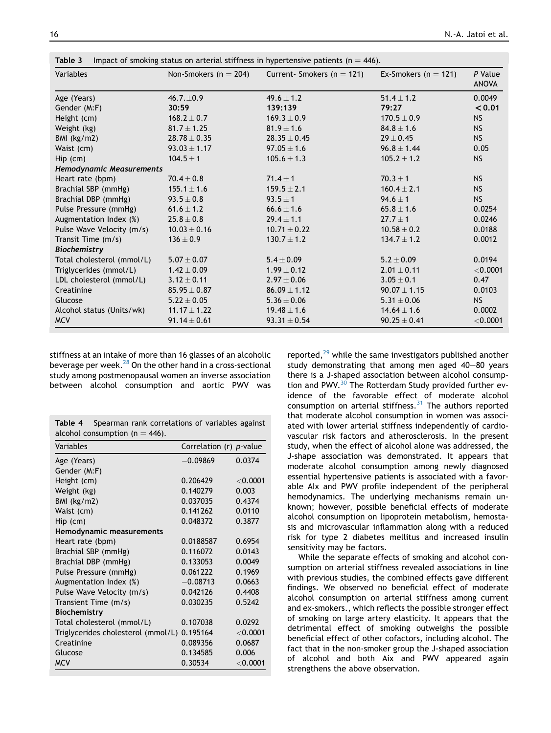| Variables                  | Non-Smokers ( $n = 204$ ) | Current- Smokers ( $n = 121$ ) | Ex-Smokers ( $n = 121$ ) | P Value<br><b>ANOVA</b> |  |
|----------------------------|---------------------------|--------------------------------|--------------------------|-------------------------|--|
| Age (Years)                | $46.7 \pm 0.9$            | 49.6 $\pm$ 1.2                 | $51.4 + 1.2$             | 0.0049                  |  |
| Gender (M:F)               | 30:59                     | 139:139                        | 79:27                    | < 0.01                  |  |
| Height (cm)                | $168.2 \pm 0.7$           | $169.3 \pm 0.9$                | $170.5 \pm 0.9$          | <b>NS</b>               |  |
| Weight (kg)                | $81.7 \pm 1.25$           | $81.9 \pm 1.6$                 | $84.8 \pm 1.6$           | <b>NS</b>               |  |
| BMI $(kg/m2)$              | $28.78 \pm 0.35$          | $28.35 \pm 0.45$               | $29 \pm 0.45$            | <b>NS</b>               |  |
| Waist (cm)                 | $93.03 \pm 1.17$          | $97.05 \pm 1.6$                | $96.8 \pm 1.44$          | 0.05                    |  |
| $Hip$ (cm)                 | $104.5 \pm 1$             | $105.6 \pm 1.3$                | $105.2 \pm 1.2$          | <b>NS</b>               |  |
| Hemodynamic Measurements   |                           |                                |                          |                         |  |
| Heart rate (bpm)           | $70.4 \pm 0.8$            | $71.4 \pm 1$                   | $70.3 \pm 1$             | <b>NS</b>               |  |
| Brachial SBP (mmHg)        | $155.1 \pm 1.6$           | $159.5 \pm 2.1$                | $160.4 \pm 2.1$          | <b>NS</b>               |  |
| Brachial DBP (mmHg)        | $93.5 \pm 0.8$            | $93.5 \pm 1$                   | $94.6 \pm 1$             | <b>NS</b>               |  |
| Pulse Pressure (mmHg)      | 61.6 $\pm$ 1.2            | $66.6 \pm 1.6$                 | $65.8 \pm 1.6$           | 0.0254                  |  |
| Augmentation Index (%)     | $25.8 \pm 0.8$            | $29.4 \pm 1.1$                 | $27.7 \pm 1$             | 0.0246                  |  |
| Pulse Wave Velocity (m/s)  | $10.03 \pm 0.16$          | $10.71 \pm 0.22$               | $10.58 + 0.2$            | 0.0188                  |  |
| Transit Time (m/s)         | $136 \pm 0.9$             | $130.7 \pm 1.2$                | $134.7 \pm 1.2$          | 0.0012                  |  |
| <b>Biochemistry</b>        |                           |                                |                          |                         |  |
| Total cholesterol (mmol/L) | $5.07 \pm 0.07$           | $5.4 \pm 0.09$                 | $5.2 \pm 0.09$           | 0.0194                  |  |
| Triglycerides (mmol/L)     | $1.42 \pm 0.09$           | $1.99 \pm 0.12$                | $2.01 + 0.11$            | $<$ 0.0001              |  |
| LDL cholesterol (mmol/L)   | $3.12 \pm 0.11$           | $2.97 \pm 0.06$                | $3.05 \pm 0.1$           | 0.47                    |  |
| Creatinine                 | $85.95 \pm 0.87$          | $86.09 \pm 1.12$               | $90.07 \pm 1.15$         | 0.0103                  |  |
| Glucose                    | $5.22 \pm 0.05$           | $5.36 \pm 0.06$                | $5.31 \pm 0.06$          | <b>NS</b>               |  |
| Alcohol status (Units/wk)  | $11.17 \pm 1.22$          | $19.48 \pm 1.6$                | $14.64 \pm 1.6$          | 0.0002                  |  |
| <b>MCV</b>                 | $91.14 \pm 0.61$          | $93.31 \pm 0.54$               | $90.25 \pm 0.41$         | $<$ 0.0001              |  |

stiffness at an intake of more than 16 glasses of an alcoholic beverage per week. $^{28}$  On the other hand in a cross-sectional study among postmenopausal women an inverse association between alcohol consumption and aortic PWV was

|                                    | <b>Table 4</b> Spearman rank correlations of variables against |  |  |
|------------------------------------|----------------------------------------------------------------|--|--|
| alcohol consumption ( $n = 446$ ). |                                                                |  |  |

| Variables                                   | Correlation (r) p-value |             |
|---------------------------------------------|-------------------------|-------------|
| Age (Years)                                 | $-0.09869$              | 0.0374      |
| Gender (M:F)                                |                         |             |
| Height (cm)                                 | 0.206429                | ${<}0.0001$ |
| Weight (kg)                                 | 0.140279                | 0.003       |
| BMI (kg/m2)                                 | 0.037035                | 0.4374      |
| Waist (cm)                                  | 0.141262                | 0.0110      |
| Hip (cm)                                    | 0.048372                | 0.3877      |
| Hemodynamic measurements                    |                         |             |
| Heart rate (bpm)                            | 0.0188587               | 0.6954      |
| Brachial SBP (mmHg)                         | 0.116072                | 0.0143      |
| Brachial DBP (mmHg)                         | 0.133053                | 0.0049      |
| Pulse Pressure (mmHg)                       | 0.061222                | 0.1969      |
| Augmentation Index (%)                      | $-0.08713$              | 0.0663      |
| Pulse Wave Velocity (m/s)                   | 0.042126                | 0.4408      |
| Transient Time (m/s)                        | 0.030235                | 0.5242      |
| <b>Biochemistry</b>                         |                         |             |
| Total cholesterol (mmol/L)                  | 0.107038                | 0.0292      |
| Triglycerides cholesterol (mmol/L) 0.195164 |                         | $<$ 0.0001  |
| Creatinine                                  | 0.089356                | 0.0687      |
| Glucose                                     | 0.134585                | 0.006       |
| <b>MCV</b>                                  | 0.30534                 | $<$ 0.0001  |

reported, $^{29}$  while the same investigators published another study demonstrating that among men aged  $40-80$  years there is a J-shaped association between alcohol consumption and PWV.<sup>30</sup> The Rotterdam Study provided further evidence of the favorable effect of moderate alcohol consumption on arterial stiffness.<sup>31</sup> The authors reported that moderate alcohol consumption in women was associated with lower arterial stiffness independently of cardiovascular risk factors and atherosclerosis. In the present study, when the effect of alcohol alone was addressed, the J-shape association was demonstrated. It appears that moderate alcohol consumption among newly diagnosed essential hypertensive patients is associated with a favorable AIx and PWV profile independent of the peripheral hemodynamics. The underlying mechanisms remain unknown; however, possible beneficial effects of moderate alcohol consumption on lipoprotein metabolism, hemostasis and microvascular inflammation along with a reduced risk for type 2 diabetes mellitus and increased insulin sensitivity may be factors.

While the separate effects of smoking and alcohol consumption on arterial stiffness revealed associations in line with previous studies, the combined effects gave different findings. We observed no beneficial effect of moderate alcohol consumption on arterial stiffness among current and ex-smokers., which reflects the possible stronger effect of smoking on large artery elasticity. It appears that the detrimental effect of smoking outweighs the possible beneficial effect of other cofactors, including alcohol. The fact that in the non-smoker group the J-shaped association of alcohol and both Aix and PWV appeared again strengthens the above observation.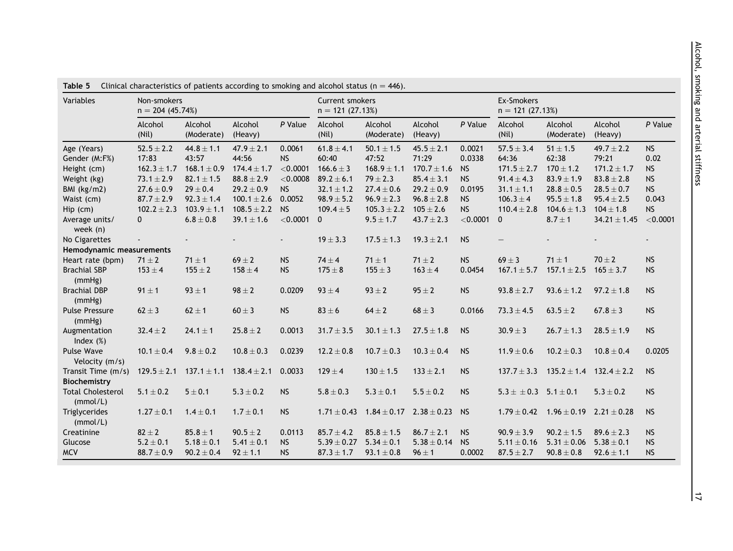| Variables                            | Non-smokers<br>$n = 204(45.74%)$ |                                 |                    |            | <b>Current smokers</b><br>$n = 121(27.13%)$ |                       |                    |            | Ex-Smokers<br>$n = 121 (27.13%)$ |                                  |                    |           |
|--------------------------------------|----------------------------------|---------------------------------|--------------------|------------|---------------------------------------------|-----------------------|--------------------|------------|----------------------------------|----------------------------------|--------------------|-----------|
|                                      | Alcohol<br>(Nil)                 | Alcohol<br>(Moderate)           | Alcohol<br>(Heavy) | P Value    | Alcohol<br>(Nil)                            | Alcohol<br>(Moderate) | Alcohol<br>(Heavy) | P Value    | Alcohol<br>(Nil)                 | Alcohol<br>(Moderate)            | Alcohol<br>(Heavy) | P Value   |
| Age (Years)                          | $52.5 \pm 2.2$                   | $44.8 \pm 1.1$                  | $47.9 \pm 2.1$     | 0.0061     | $61.8 \pm 4.1$                              | $50.1 \pm 1.5$        | $45.5 \pm 2.1$     | 0.0021     | $57.5 \pm 3.4$                   | $51\pm1.5$                       | $49.7 \pm 2.2$     | <b>NS</b> |
| Gender (M:F%)                        | 17:83                            | 43:57                           | 44:56              | <b>NS</b>  | 60:40                                       | 47:52                 | 71:29              | 0.0338     | 64:36                            | 62:38                            | 79:21              | 0.02      |
| Height (cm)                          | $162.3 \pm 1.7$                  | $168.1 \pm 0.9$                 | $174.4 \pm 1.7$    | < 0.0001   | $166.6 \pm 3$                               | $168.9 \pm 1.1$       | $170.7 \pm 1.6$    | <b>NS</b>  | $171.5 \pm 2.7$                  | $170 \pm 1.2$                    | $171.2 \pm 1.7$    | <b>NS</b> |
| Weight (kg)                          | $73.1 \pm 2.9$                   | $82.1 \pm 1.5$                  | $88.8 \pm 2.9$     | $<$ 0.0008 | $89.2 \pm 6.1$                              | $79 \pm 2.3$          | $85.4 \pm 3.1$     | <b>NS</b>  | $91.4 \pm 4.3$                   | $83.9 \pm 1.9$                   | $83.8 \pm 2.8$     | <b>NS</b> |
| BMI (kg/m2)                          | $27.6 \pm 0.9$                   | $29 \pm 0.4$                    | $29.2 \pm 0.9$     | <b>NS</b>  | $32.1 \pm 1.2$                              | $27.4 \pm 0.6$        | $29.2 \pm 0.9$     | 0.0195     | $31.1 \pm 1.1$                   | $\textbf{28.8} \pm \textbf{0.5}$ | $28.5 \pm 0.7$     | <b>NS</b> |
| Waist (cm)                           | $87.7 \pm 2.9$                   | $92.3 \pm 1.4$                  | $100.1 \pm 2.6$    | 0.0052     | $98.9 \pm 5.2$                              | $96.9 \pm 2.3$        | $96.8 \pm 2.8$     | <b>NS</b>  | $106.3 \pm 4$                    | $95.5 \pm 1.8$                   | $95.4 \pm 2.5$     | 0.043     |
| Hip (cm)                             | $102.2 \pm 2.3$                  | $103.9 \pm 1.1$                 | $108.5 \pm 2.2$    | <b>NS</b>  | $109.4 \pm 5$                               | $105.3 \pm 2.2$       | $105 \pm 2.6$      | <b>NS</b>  | $110.4 \pm 2.8$                  | $104.6 \pm 1.3$                  | $104 \pm 1.8$      | <b>NS</b> |
| Average units/<br>week (n)           | $\mathbf{0}$                     | $\mathbf{6.8} \pm \mathbf{0.8}$ | $39.1 \pm 1.6$     | < 0.0001   | $\mathbf{0}$                                | $9.5 \pm 1.7$         | $43.7 \pm 2.3$     | $<$ 0.0001 | $\mathbf{0}$                     | $8.7 \pm 1$                      | $34.21 \pm 1.45$   | < 0.0001  |
| No Cigarettes                        |                                  |                                 |                    |            | $19 \pm 3.3$                                | $17.5 \pm 1.3$        | $19.3 \pm 2.1$     | <b>NS</b>  |                                  |                                  |                    |           |
| Hemodynamic measurements             |                                  |                                 |                    |            |                                             |                       |                    |            |                                  |                                  |                    |           |
| Heart rate (bpm)                     | $71 \pm 2$                       | $71 \pm 1$                      | $69 \pm 2$         | <b>NS</b>  | $74 \pm 4$                                  | $71 \pm 1$            | $71 \pm 2$         | <b>NS</b>  | $69 \pm 3$                       | $71 \pm 1$                       | $70 \pm 2$         | <b>NS</b> |
| <b>Brachial SBP</b><br>(mmHg)        | $153 \pm 4$                      | $155 \pm 2$                     | $158 \pm 4$        | <b>NS</b>  | $175 \pm 8$                                 | $155 \pm 3$           | $163 \pm 4$        | 0.0454     | $167.1 \pm 5.7$                  | $157.1 \pm 2.5$                  | $165 \pm 3.7$      | <b>NS</b> |
| <b>Brachial DBP</b><br>(mmHg)        | $91 \pm 1$                       | $93 \pm 1$                      | $98 \pm 2$         | 0.0209     | $93 \pm 4$                                  | $93 \pm 2$            | $95 \pm 2$         | <b>NS</b>  | $93.8 \pm 2.7$                   | $93.6 \pm 1.2$                   | $97.2 \pm 1.8$     | <b>NS</b> |
| <b>Pulse Pressure</b><br>(mmHg)      | $62 \pm 3$                       | $62 \pm 1$                      | $60 \pm 3$         | <b>NS</b>  | $83 \pm 6$                                  | $64 \pm 2$            | $68 \pm 3$         | 0.0166     | $73.3 \pm 4.5$                   | $63.5 \pm 2$                     | $67.8 \pm 3$       | <b>NS</b> |
| Augmentation<br>Index $(\%)$         | $32.4 \pm 2$                     | $24.1 \pm 1$                    | $25.8 \pm 2$       | 0.0013     | $31.7 \pm 3.5$                              | $30.1 \pm 1.3$        | $27.5 \pm 1.8$     | <b>NS</b>  | $30.9 \pm 3$                     | $26.7 \pm 1.3$                   | $28.5 \pm 1.9$     | <b>NS</b> |
| Pulse Wave<br>Velocity (m/s)         | $10.1\pm0.4$                     | $9.8 \pm 0.2$                   | $10.8 \pm 0.3$     | 0.0239     | $12.2 \pm 0.8$                              | $10.7 \pm 0.3$        | $10.3 \pm 0.4$     | <b>NS</b>  | $11.9 \pm 0.6$                   | $10.2 \pm 0.3$                   | $10.8 \pm 0.4$     | 0.0205    |
| Transit Time (m/s)                   | $129.5 \pm 2.1$                  | $137.1 \pm 1.1$                 | $138.4 \pm 2.1$    | 0.0033     | $129 \pm 4$                                 | $130 \pm 1.5$         | $133 \pm 2.1$      | <b>NS</b>  | $137.7 \pm 3.3$                  | $135.2 \pm 1.4$                  | $132.4 \pm 2.2$    | <b>NS</b> |
| Biochemistry                         |                                  |                                 |                    |            |                                             |                       |                    |            |                                  |                                  |                    |           |
| <b>Total Cholesterol</b><br>(mmol/L) | $5.1 \pm 0.2$                    | $5 \pm 0.1$                     | $5.3 \pm 0.2$      | <b>NS</b>  | $5.8 \pm 0.3$                               | $5.3 \pm 0.1$         | $5.5 \pm 0.2$      | <b>NS</b>  | $5.3 \pm \pm 0.3$ $5.1 \pm 0.1$  |                                  | $5.3 \pm 0.2$      | <b>NS</b> |
| Triglycerides<br>(mmol/L)            | $1.27 \pm 0.1$                   | $1.4 \pm 0.1$                   | $1.7 \pm 0.1$      | <b>NS</b>  | $1.71 \pm 0.43$                             | $1.84 \pm 0.17$       | $2.38 \pm 0.23$    | <b>NS</b>  | $1.79 \pm 0.42$                  | $1.96 \pm 0.19$                  | $2.21 \pm 0.28$    | <b>NS</b> |
| Creatinine                           | $82 \pm 2$                       | $85.8 \pm 1$                    | $90.5 \pm 2$       | 0.0113     | $85.7 \pm 4.2$                              | $85.8 \pm 1.5$        | $86.7 \pm 2.1$     | <b>NS</b>  | $90.9 \pm 3.9$                   | $90.2 \pm 1.5$                   | $89.6 \pm 2.3$     | <b>NS</b> |
| Glucose                              | $5.2 \pm 0.1$                    | $5.18 \pm 0.1$                  | $5.41 \pm 0.1$     | <b>NS</b>  | $5.39 \pm 0.27$                             | $5.34 \pm 0.1$        | $5.38 \pm 0.14$    | <b>NS</b>  | $5.11 \pm 0.16$                  | $5.31 \pm 0.06$                  | $5.38 \pm 0.1$     | <b>NS</b> |
| <b>MCV</b>                           | $88.7 \pm 0.9$                   | $90.2 \pm 0.4$                  | $92 \pm 1.1$       | <b>NS</b>  | $87.3 \pm 1.7$                              | $93.1 \pm 0.8$        | $96 \pm 1$         | 0.0002     | $87.5 \pm 2.7$                   | $90.8 \pm 0.8$                   | $92.6 \pm 1.1$     | <b>NS</b> |

**Table 5** Clinical characteristics of patients according to smoking and alcohol status (n  $=$  446).

 $|z|$